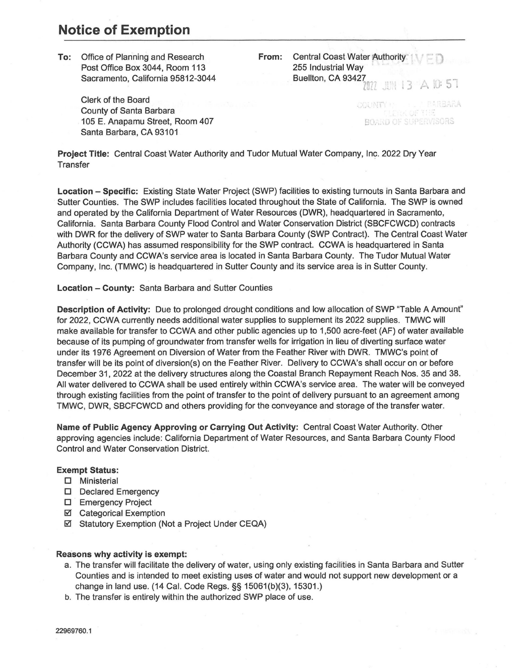## **Notice of Exemption**

**To:** Office of Planning and Research Post Office Box 3044, Room 113 Sacramento, California 95812-3044

> Clerk of the Board County of Santa Barbara 105 E. Anapamu Street, Room 407 Santa Barbara, CA 93101

**From:** Central Coast Water Authority 255 Industrial Way Buellton, CA 93427 l 022 JUN 13 A 10 57

> RARBARA COUNTY 1 **BOARD OF SUPERVISORS**

**Project Title:** Central Coast Water Authority and Tudor Mutual Water Company, Inc. 2022 Dry Year **Transfer** 

**Location - Specific:** Existing State Water Project (SWP) facilities to existing turnouts in Santa Barbara and Sutter Counties. The SWP includes facilities located throughout the State of California. The SWP is owned and operated by the California Department of Water Resources (DWR), headquartered in Sacramento, California. Santa Barbara County Flood Control and Water Conservation District (SBCFCWCD) contracts with DWR for the delivery of SWP water to Santa Barbara County (SWP Contract). The Central Coast Water Authority (CCWA) has assumed responsibility for the SWP contract. CCWA is headquartered in Santa Barbara County and CCWA's service area is located in Santa Barbara County. The Tudor Mutual Water Company, Inc. (TMWC) is headquartered in Sutter County and its service area is in Sutter County.

**Location - County:** Santa Barbara and Sutter Counties

**Description of Activity:** Due to prolonged drought conditions and low allocation of SWP "Table A Amount" for 2022, CCWA currently needs additional water supplies to supplement its 2022 supplies. TMWC will make available for transfer to CCWA and other public agencies up to 1,500 acre-feet (AF) of water available because of its pumping of groundwater from transfer wells for irrigation in lieu of diverting surface water under its 1976 Agreement on Diversion of Water from the Feather River with DWR. TMWC's point of transfer will be its point of diversion(s) on the Feather River. Delivery to CCWA's shall occur on or before December 31, 2022 at the delivery structures along the Coastal Branch Repayment Reach Nos. 35 and 38. All water delivered to CCWA shall be used entirely within CCWA's service area. The water will be conveyed through existing facilities from the point of transfer to the point of delivery pursuant to an agreement among TMWC, DWR, SBCFCWCD and others providing for the conveyance and storage of the transfer water.

**Name of Public Agency Approving or Carrying Out Activity:** Central Coast Water Authority. Other approving agencies include: California Department of Water Resources, and Santa Barbara County Flood Control and Water Conservation District.

## **Exempt Status:**

- O Ministerial
- **D** Declared Emergency
- **D** Emergency Project
- Categorical Exemption
- Statutory Exemption (Not a Project Under CEQA)

## **Reasons why activity is exempt:**

- a. The transfer will facilitate the delivery of water, using only existing facilities in Santa Barbara and Sutter Counties and is intended to meet existing uses of water and would not support new development or a change in land use. (14 Cal. Code Regs.§§ 15061(b){3), 15301.)
- b. The transfer is entirely within the authorized SWP place of use.